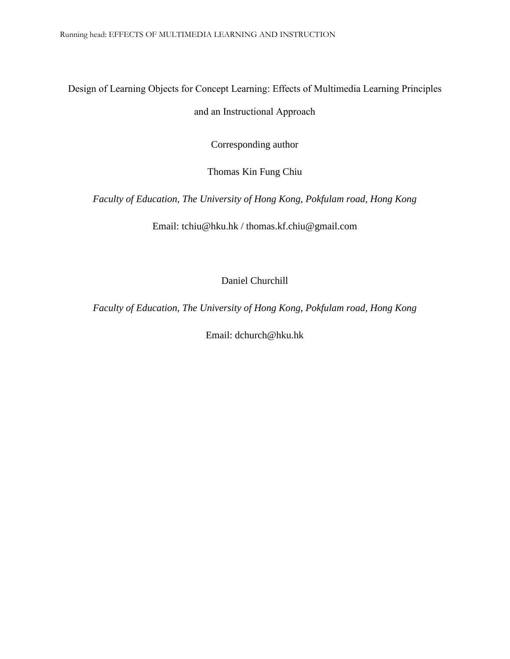# Design of Learning Objects for Concept Learning: Effects of Multimedia Learning Principles

## and an Instructional Approach

Corresponding author

Thomas Kin Fung Chiu

*Faculty of Education, The University of Hong Kong, Pokfulam road, Hong Kong*

Email: tchiu@hku.hk / thomas.kf.chiu@gmail.com

Daniel Churchill

*Faculty of Education, The University of Hong Kong, Pokfulam road, Hong Kong*

Email: dchurch@hku.hk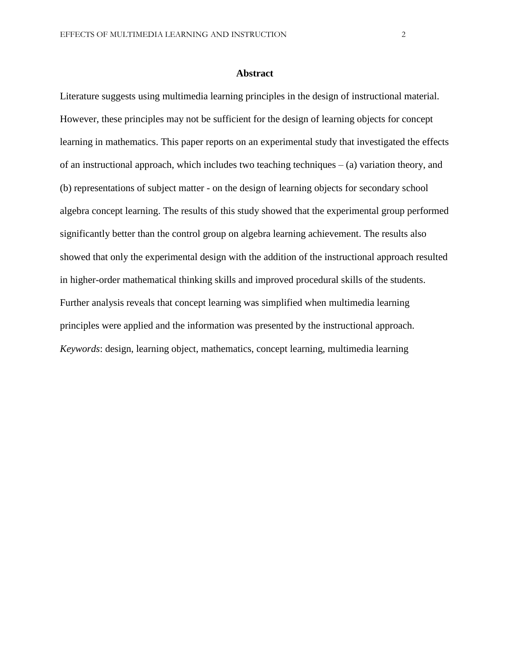#### **Abstract**

Literature suggests using multimedia learning principles in the design of instructional material. However, these principles may not be sufficient for the design of learning objects for concept learning in mathematics. This paper reports on an experimental study that investigated the effects of an instructional approach, which includes two teaching techniques  $-$  (a) variation theory, and (b) representations of subject matter - on the design of learning objects for secondary school algebra concept learning. The results of this study showed that the experimental group performed significantly better than the control group on algebra learning achievement. The results also showed that only the experimental design with the addition of the instructional approach resulted in higher-order mathematical thinking skills and improved procedural skills of the students. Further analysis reveals that concept learning was simplified when multimedia learning principles were applied and the information was presented by the instructional approach. *Keywords*: design, learning object, mathematics, concept learning, multimedia learning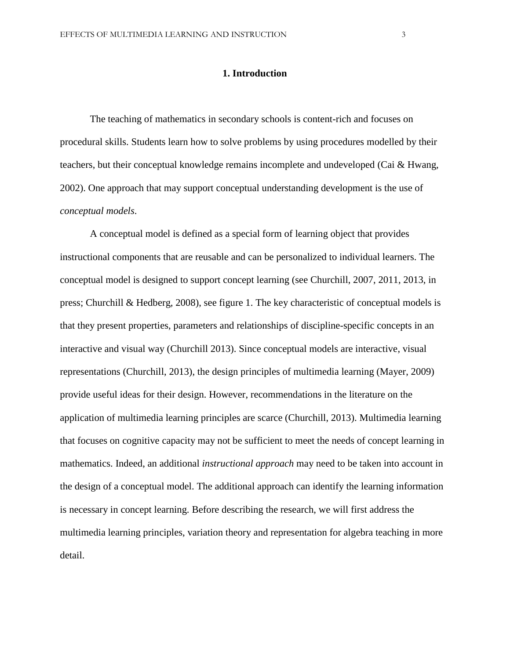### **1. Introduction**

The teaching of mathematics in secondary schools is content-rich and focuses on procedural skills. Students learn how to solve problems by using procedures modelled by their teachers, but their conceptual knowledge remains incomplete and undeveloped (Cai & Hwang, 2002). One approach that may support conceptual understanding development is the use of *conceptual models*.

A conceptual model is defined as a special form of learning object that provides instructional components that are reusable and can be personalized to individual learners. The conceptual model is designed to support concept learning (see Churchill, 2007, 2011, 2013, in press; Churchill & Hedberg, 2008), see figure 1. The key characteristic of conceptual models is that they present properties, parameters and relationships of discipline-specific concepts in an interactive and visual way (Churchill 2013). Since conceptual models are interactive, visual representations (Churchill, 2013), the design principles of multimedia learning (Mayer, 2009) provide useful ideas for their design. However, recommendations in the literature on the application of multimedia learning principles are scarce (Churchill, 2013). Multimedia learning that focuses on cognitive capacity may not be sufficient to meet the needs of concept learning in mathematics. Indeed, an additional *instructional approach* may need to be taken into account in the design of a conceptual model. The additional approach can identify the learning information is necessary in concept learning. Before describing the research, we will first address the multimedia learning principles, variation theory and representation for algebra teaching in more detail.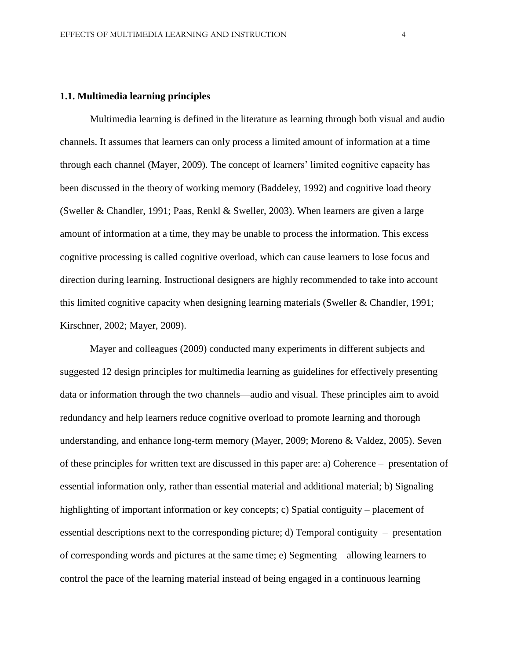## **1.1. Multimedia learning principles**

Multimedia learning is defined in the literature as learning through both visual and audio channels. It assumes that learners can only process a limited amount of information at a time through each channel (Mayer, 2009). The concept of learners' limited cognitive capacity has been discussed in the theory of working memory (Baddeley, 1992) and cognitive load theory (Sweller & Chandler, 1991; Paas, Renkl & Sweller, 2003). When learners are given a large amount of information at a time, they may be unable to process the information. This excess cognitive processing is called cognitive overload, which can cause learners to lose focus and direction during learning. Instructional designers are highly recommended to take into account this limited cognitive capacity when designing learning materials (Sweller & Chandler, 1991; Kirschner, 2002; Mayer, 2009).

Mayer and colleagues (2009) conducted many experiments in different subjects and suggested 12 design principles for multimedia learning as guidelines for effectively presenting data or information through the two channels—audio and visual. These principles aim to avoid redundancy and help learners reduce cognitive overload to promote learning and thorough understanding, and enhance long-term memory (Mayer, 2009; Moreno & Valdez, 2005). Seven of these principles for written text are discussed in this paper are: a) Coherence – presentation of essential information only, rather than essential material and additional material; b) Signaling – highlighting of important information or key concepts; c) Spatial contiguity – placement of essential descriptions next to the corresponding picture; d) Temporal contiguity – presentation of corresponding words and pictures at the same time; e) Segmenting – allowing learners to control the pace of the learning material instead of being engaged in a continuous learning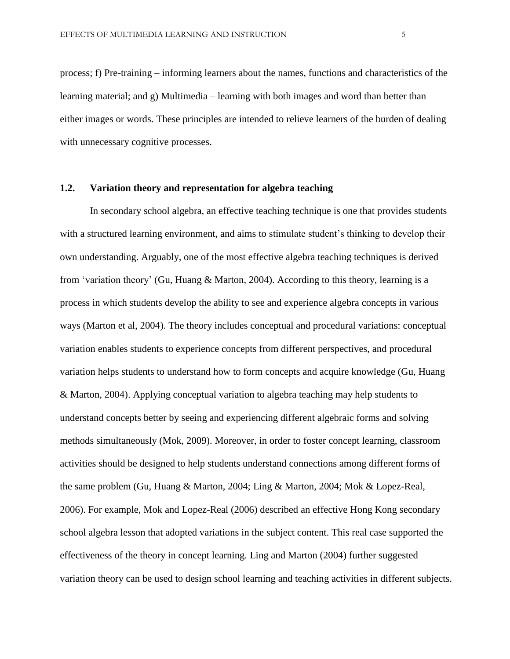process; f) Pre-training – informing learners about the names, functions and characteristics of the learning material; and g) Multimedia – learning with both images and word than better than either images or words. These principles are intended to relieve learners of the burden of dealing with unnecessary cognitive processes.

### **1.2. Variation theory and representation for algebra teaching**

In secondary school algebra, an effective teaching technique is one that provides students with a structured learning environment, and aims to stimulate student's thinking to develop their own understanding. Arguably, one of the most effective algebra teaching techniques is derived from 'variation theory' (Gu, Huang & Marton, 2004). According to this theory, learning is a process in which students develop the ability to see and experience algebra concepts in various ways (Marton et al, 2004). The theory includes conceptual and procedural variations: conceptual variation enables students to experience concepts from different perspectives, and procedural variation helps students to understand how to form concepts and acquire knowledge (Gu, Huang & Marton, 2004). Applying conceptual variation to algebra teaching may help students to understand concepts better by seeing and experiencing different algebraic forms and solving methods simultaneously (Mok, 2009). Moreover, in order to foster concept learning, classroom activities should be designed to help students understand connections among different forms of the same problem (Gu, Huang & Marton, 2004; Ling & Marton, 2004; Mok & Lopez-Real, 2006). For example, Mok and Lopez-Real (2006) described an effective Hong Kong secondary school algebra lesson that adopted variations in the subject content. This real case supported the effectiveness of the theory in concept learning. Ling and Marton (2004) further suggested variation theory can be used to design school learning and teaching activities in different subjects.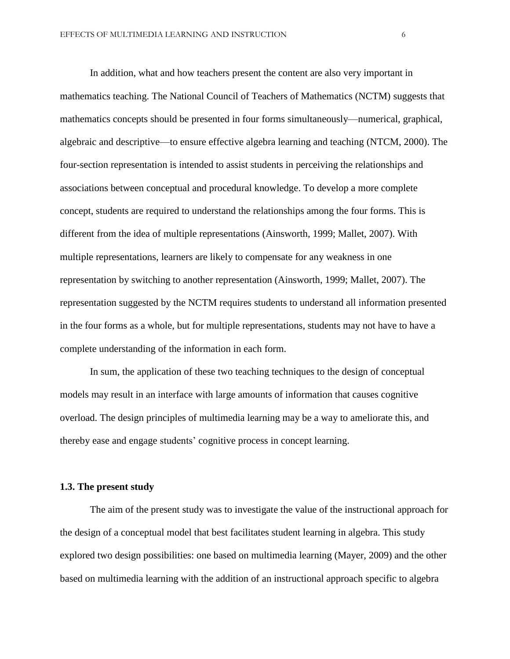In addition, what and how teachers present the content are also very important in mathematics teaching. The National Council of Teachers of Mathematics (NCTM) suggests that mathematics concepts should be presented in four forms simultaneously—numerical, graphical, algebraic and descriptive—to ensure effective algebra learning and teaching (NTCM, 2000). The four-section representation is intended to assist students in perceiving the relationships and associations between conceptual and procedural knowledge. To develop a more complete concept, students are required to understand the relationships among the four forms. This is different from the idea of multiple representations (Ainsworth, 1999; Mallet, 2007). With multiple representations, learners are likely to compensate for any weakness in one representation by switching to another representation (Ainsworth, 1999; Mallet, 2007). The representation suggested by the NCTM requires students to understand all information presented in the four forms as a whole, but for multiple representations, students may not have to have a complete understanding of the information in each form.

In sum, the application of these two teaching techniques to the design of conceptual models may result in an interface with large amounts of information that causes cognitive overload. The design principles of multimedia learning may be a way to ameliorate this, and thereby ease and engage students' cognitive process in concept learning.

#### **1.3. The present study**

The aim of the present study was to investigate the value of the instructional approach for the design of a conceptual model that best facilitates student learning in algebra. This study explored two design possibilities: one based on multimedia learning (Mayer, 2009) and the other based on multimedia learning with the addition of an instructional approach specific to algebra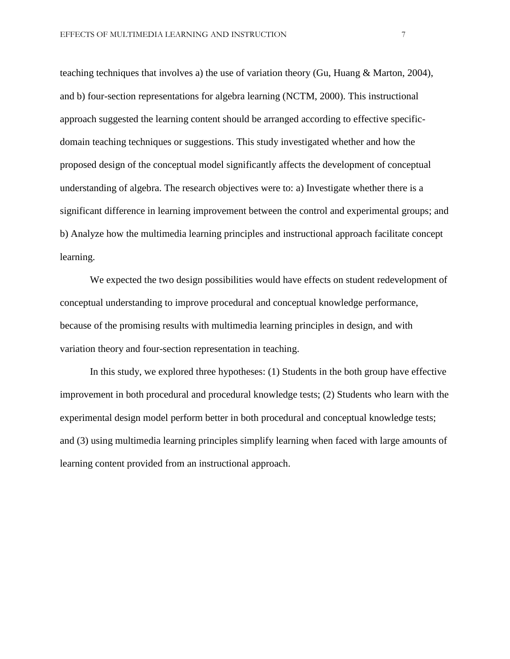teaching techniques that involves a) the use of variation theory (Gu, Huang & Marton, 2004), and b) four-section representations for algebra learning (NCTM, 2000). This instructional approach suggested the learning content should be arranged according to effective specificdomain teaching techniques or suggestions. This study investigated whether and how the proposed design of the conceptual model significantly affects the development of conceptual understanding of algebra. The research objectives were to: a) Investigate whether there is a significant difference in learning improvement between the control and experimental groups; and b) Analyze how the multimedia learning principles and instructional approach facilitate concept learning.

We expected the two design possibilities would have effects on student redevelopment of conceptual understanding to improve procedural and conceptual knowledge performance, because of the promising results with multimedia learning principles in design, and with variation theory and four-section representation in teaching.

In this study, we explored three hypotheses: (1) Students in the both group have effective improvement in both procedural and procedural knowledge tests; (2) Students who learn with the experimental design model perform better in both procedural and conceptual knowledge tests; and (3) using multimedia learning principles simplify learning when faced with large amounts of learning content provided from an instructional approach.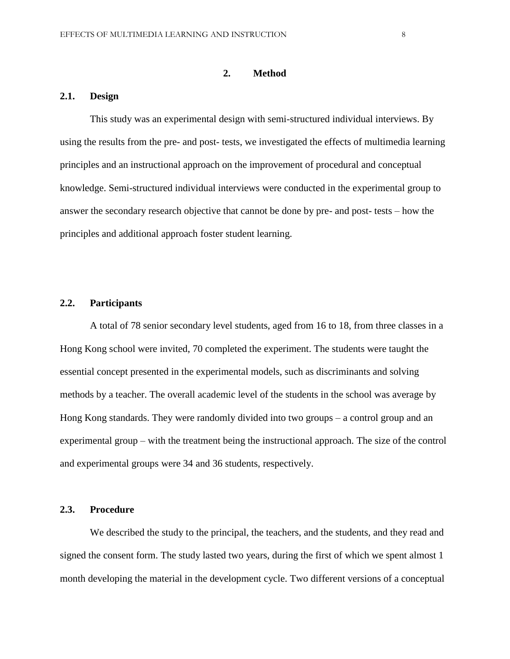#### **2. Method**

#### **2.1. Design**

This study was an experimental design with semi-structured individual interviews. By using the results from the pre- and post- tests, we investigated the effects of multimedia learning principles and an instructional approach on the improvement of procedural and conceptual knowledge. Semi-structured individual interviews were conducted in the experimental group to answer the secondary research objective that cannot be done by pre- and post- tests – how the principles and additional approach foster student learning.

### **2.2. Participants**

A total of 78 senior secondary level students, aged from 16 to 18, from three classes in a Hong Kong school were invited, 70 completed the experiment. The students were taught the essential concept presented in the experimental models, such as discriminants and solving methods by a teacher. The overall academic level of the students in the school was average by Hong Kong standards. They were randomly divided into two groups – a control group and an experimental group – with the treatment being the instructional approach. The size of the control and experimental groups were 34 and 36 students, respectively.

#### **2.3. Procedure**

We described the study to the principal, the teachers, and the students, and they read and signed the consent form. The study lasted two years, during the first of which we spent almost 1 month developing the material in the development cycle. Two different versions of a conceptual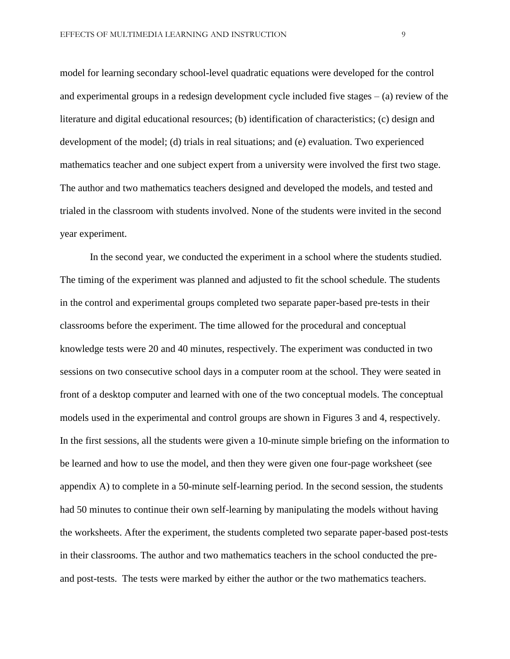model for learning secondary school-level quadratic equations were developed for the control and experimental groups in a redesign development cycle included five stages  $-$  (a) review of the literature and digital educational resources; (b) identification of characteristics; (c) design and development of the model; (d) trials in real situations; and (e) evaluation. Two experienced mathematics teacher and one subject expert from a university were involved the first two stage. The author and two mathematics teachers designed and developed the models, and tested and trialed in the classroom with students involved. None of the students were invited in the second year experiment.

In the second year, we conducted the experiment in a school where the students studied. The timing of the experiment was planned and adjusted to fit the school schedule. The students in the control and experimental groups completed two separate paper-based pre-tests in their classrooms before the experiment. The time allowed for the procedural and conceptual knowledge tests were 20 and 40 minutes, respectively. The experiment was conducted in two sessions on two consecutive school days in a computer room at the school. They were seated in front of a desktop computer and learned with one of the two conceptual models. The conceptual models used in the experimental and control groups are shown in Figures 3 and 4, respectively. In the first sessions, all the students were given a 10-minute simple briefing on the information to be learned and how to use the model, and then they were given one four-page worksheet (see appendix A) to complete in a 50-minute self-learning period. In the second session, the students had 50 minutes to continue their own self-learning by manipulating the models without having the worksheets. After the experiment, the students completed two separate paper-based post-tests in their classrooms. The author and two mathematics teachers in the school conducted the preand post-tests. The tests were marked by either the author or the two mathematics teachers.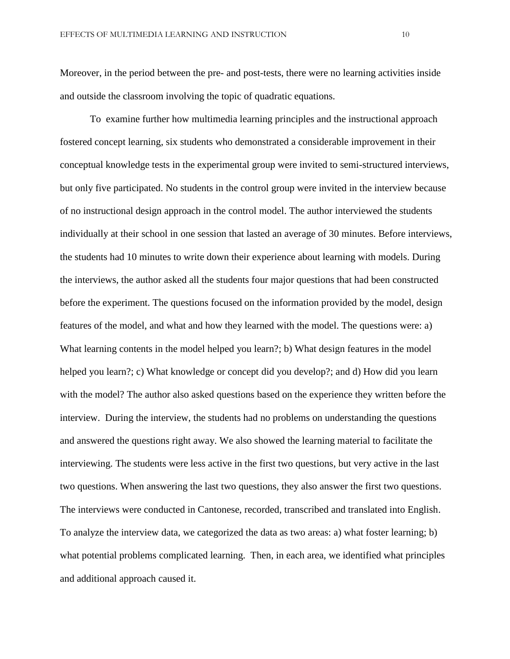Moreover, in the period between the pre- and post-tests, there were no learning activities inside and outside the classroom involving the topic of quadratic equations.

To examine further how multimedia learning principles and the instructional approach fostered concept learning, six students who demonstrated a considerable improvement in their conceptual knowledge tests in the experimental group were invited to semi-structured interviews, but only five participated. No students in the control group were invited in the interview because of no instructional design approach in the control model. The author interviewed the students individually at their school in one session that lasted an average of 30 minutes. Before interviews, the students had 10 minutes to write down their experience about learning with models. During the interviews, the author asked all the students four major questions that had been constructed before the experiment. The questions focused on the information provided by the model, design features of the model, and what and how they learned with the model. The questions were: a) What learning contents in the model helped you learn?; b) What design features in the model helped you learn?; c) What knowledge or concept did you develop?; and d) How did you learn with the model? The author also asked questions based on the experience they written before the interview. During the interview, the students had no problems on understanding the questions and answered the questions right away. We also showed the learning material to facilitate the interviewing. The students were less active in the first two questions, but very active in the last two questions. When answering the last two questions, they also answer the first two questions. The interviews were conducted in Cantonese, recorded, transcribed and translated into English. To analyze the interview data, we categorized the data as two areas: a) what foster learning; b) what potential problems complicated learning. Then, in each area, we identified what principles and additional approach caused it.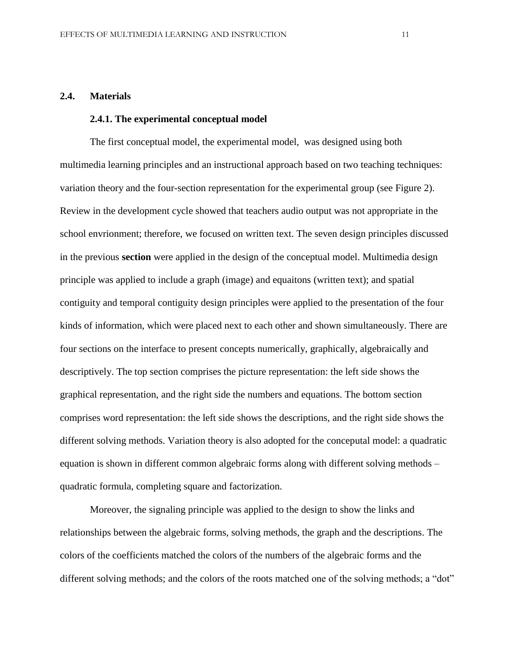#### **2.4. Materials**

#### **2.4.1. The experimental conceptual model**

The first conceptual model, the experimental model, was designed using both multimedia learning principles and an instructional approach based on two teaching techniques: variation theory and the four-section representation for the experimental group (see Figure 2). Review in the development cycle showed that teachers audio output was not appropriate in the school envrionment; therefore, we focused on written text. The seven design principles discussed in the previous **section** were applied in the design of the conceptual model. Multimedia design principle was applied to include a graph (image) and equaitons (written text); and spatial contiguity and temporal contiguity design principles were applied to the presentation of the four kinds of information, which were placed next to each other and shown simultaneously. There are four sections on the interface to present concepts numerically, graphically, algebraically and descriptively. The top section comprises the picture representation: the left side shows the graphical representation, and the right side the numbers and equations. The bottom section comprises word representation: the left side shows the descriptions, and the right side shows the different solving methods. Variation theory is also adopted for the conceputal model: a quadratic equation is shown in different common algebraic forms along with different solving methods – quadratic formula, completing square and factorization.

Moreover, the signaling principle was applied to the design to show the links and relationships between the algebraic forms, solving methods, the graph and the descriptions. The colors of the coefficients matched the colors of the numbers of the algebraic forms and the different solving methods; and the colors of the roots matched one of the solving methods; a "dot"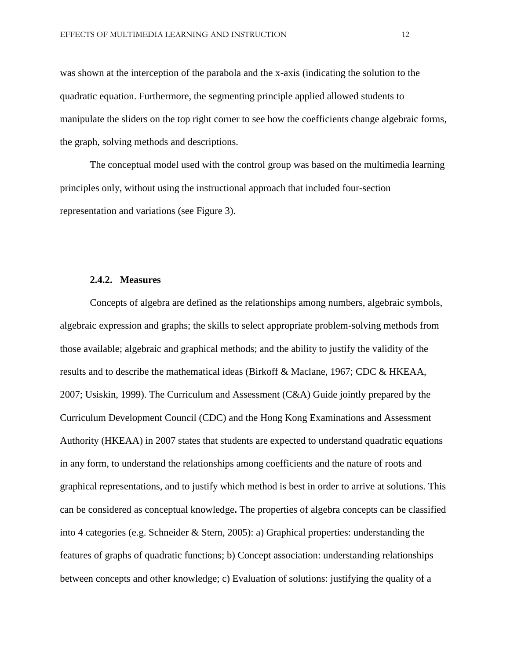was shown at the interception of the parabola and the x-axis (indicating the solution to the quadratic equation. Furthermore, the segmenting principle applied allowed students to manipulate the sliders on the top right corner to see how the coefficients change algebraic forms, the graph, solving methods and descriptions.

The conceptual model used with the control group was based on the multimedia learning principles only, without using the instructional approach that included four-section representation and variations (see Figure 3).

#### **2.4.2. Measures**

Concepts of algebra are defined as the relationships among numbers, algebraic symbols, algebraic expression and graphs; the skills to select appropriate problem-solving methods from those available; algebraic and graphical methods; and the ability to justify the validity of the results and to describe the mathematical ideas (Birkoff & Maclane, 1967; CDC & HKEAA, 2007; Usiskin, 1999). The Curriculum and Assessment (C&A) Guide jointly prepared by the Curriculum Development Council (CDC) and the Hong Kong Examinations and Assessment Authority (HKEAA) in 2007 states that students are expected to understand quadratic equations in any form, to understand the relationships among coefficients and the nature of roots and graphical representations, and to justify which method is best in order to arrive at solutions. This can be considered as conceptual knowledge**.** The properties of algebra concepts can be classified into 4 categories (e.g. Schneider & Stern, 2005): a) Graphical properties: understanding the features of graphs of quadratic functions; b) Concept association: understanding relationships between concepts and other knowledge; c) Evaluation of solutions: justifying the quality of a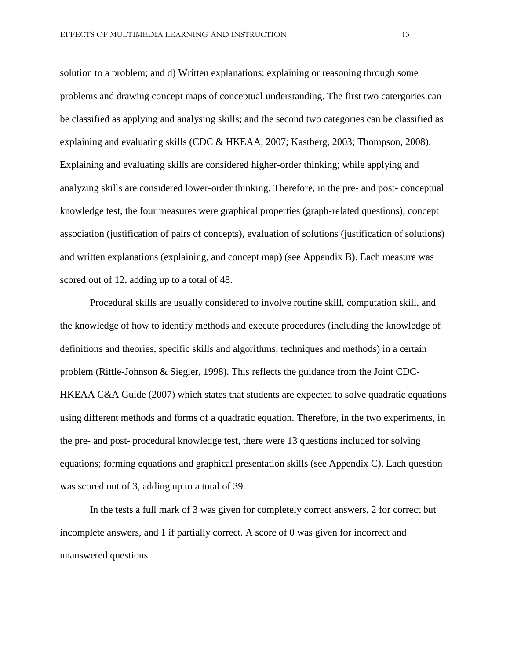solution to a problem; and d) Written explanations: explaining or reasoning through some problems and drawing concept maps of conceptual understanding. The first two catergories can be classified as applying and analysing skills; and the second two categories can be classified as explaining and evaluating skills (CDC & HKEAA, 2007; Kastberg, 2003; Thompson, 2008). Explaining and evaluating skills are considered higher-order thinking; while applying and analyzing skills are considered lower-order thinking. Therefore, in the pre- and post- conceptual knowledge test, the four measures were graphical properties (graph-related questions), concept association (justification of pairs of concepts), evaluation of solutions (justification of solutions) and written explanations (explaining, and concept map) (see Appendix B). Each measure was scored out of 12, adding up to a total of 48.

Procedural skills are usually considered to involve routine skill, computation skill, and the knowledge of how to identify methods and execute procedures (including the knowledge of definitions and theories, specific skills and algorithms, techniques and methods) in a certain problem (Rittle-Johnson & Siegler, 1998). This reflects the guidance from the Joint CDC-HKEAA C&A Guide (2007) which states that students are expected to solve quadratic equations using different methods and forms of a quadratic equation. Therefore, in the two experiments, in the pre- and post- procedural knowledge test, there were 13 questions included for solving equations; forming equations and graphical presentation skills (see Appendix C). Each question was scored out of 3, adding up to a total of 39.

In the tests a full mark of 3 was given for completely correct answers, 2 for correct but incomplete answers, and 1 if partially correct. A score of 0 was given for incorrect and unanswered questions.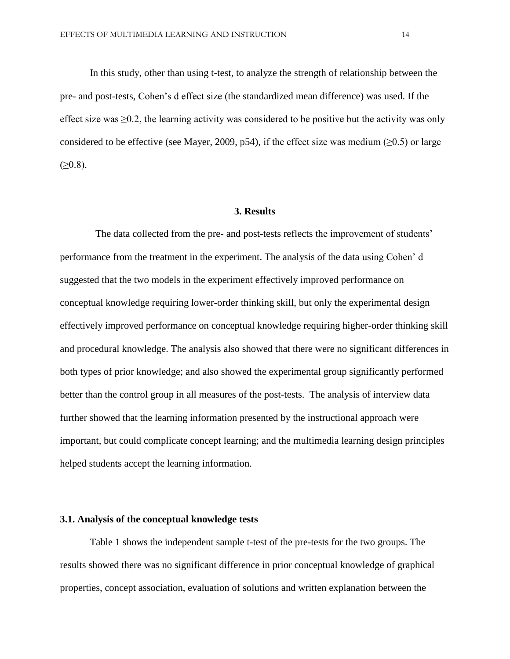In this study, other than using t-test, to analyze the strength of relationship between the pre- and post-tests, Cohen's d effect size (the standardized mean difference) was used. If the effect size was  $\geq 0.2$ , the learning activity was considered to be positive but the activity was only considered to be effective (see Mayer, 2009, p54), if the effect size was medium ( $\geq 0.5$ ) or large  $(≥0.8)$ .

#### **3. Results**

The data collected from the pre- and post-tests reflects the improvement of students' performance from the treatment in the experiment. The analysis of the data using Cohen' d suggested that the two models in the experiment effectively improved performance on conceptual knowledge requiring lower-order thinking skill, but only the experimental design effectively improved performance on conceptual knowledge requiring higher-order thinking skill and procedural knowledge. The analysis also showed that there were no significant differences in both types of prior knowledge; and also showed the experimental group significantly performed better than the control group in all measures of the post-tests. The analysis of interview data further showed that the learning information presented by the instructional approach were important, but could complicate concept learning; and the multimedia learning design principles helped students accept the learning information.

#### **3.1. Analysis of the conceptual knowledge tests**

Table 1 shows the independent sample t-test of the pre-tests for the two groups. The results showed there was no significant difference in prior conceptual knowledge of graphical properties, concept association, evaluation of solutions and written explanation between the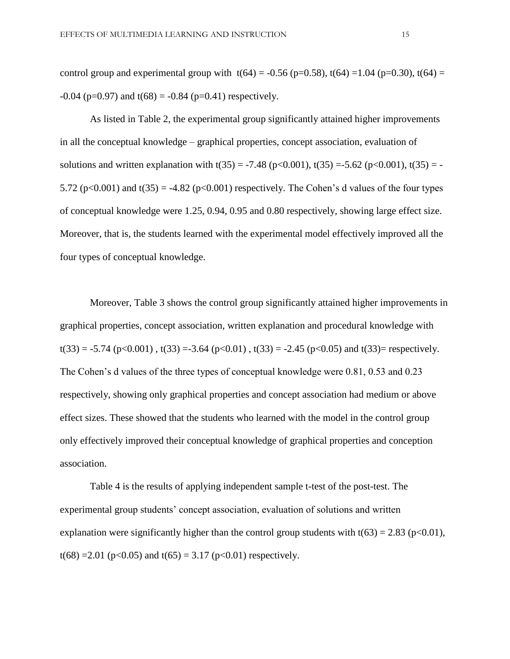$-0.04$  (p=0.97) and t(68) =  $-0.84$  (p=0.41) respectively.

As listed in Table 2, the experimental group significantly attained higher improvements in all the conceptual knowledge – graphical properties, concept association, evaluation of solutions and written explanation with  $t(35) = -7.48$  (p<0.001),  $t(35) = -5.62$  (p<0.001),  $t(35) = -5.62$ 5.72 ( $p<0.001$ ) and  $t(35) = -4.82$  ( $p<0.001$ ) respectively. The Cohen's d values of the four types of conceptual knowledge were 1.25, 0.94, 0.95 and 0.80 respectively, showing large effect size. Moreover, that is, the students learned with the experimental model effectively improved all the four types of conceptual knowledge.

Moreover, Table 3 shows the control group significantly attained higher improvements in graphical properties, concept association, written explanation and procedural knowledge with  $t(33) = -5.74$  (p<0.001),  $t(33) = -3.64$  (p<0.01),  $t(33) = -2.45$  (p<0.05) and  $t(33) =$  respectively. The Cohen's d values of the three types of conceptual knowledge were 0.81, 0.53 and 0.23 respectively, showing only graphical properties and concept association had medium or above effect sizes. These showed that the students who learned with the model in the control group only effectively improved their conceptual knowledge of graphical properties and conception association.

Table 4 is the results of applying independent sample t-test of the post-test. The experimental group students' concept association, evaluation of solutions and written explanation were significantly higher than the control group students with  $t(63) = 2.83$  (p<0.01), t(68) = 2.01 (p<0.05) and t(65) = 3.17 (p<0.01) respectively.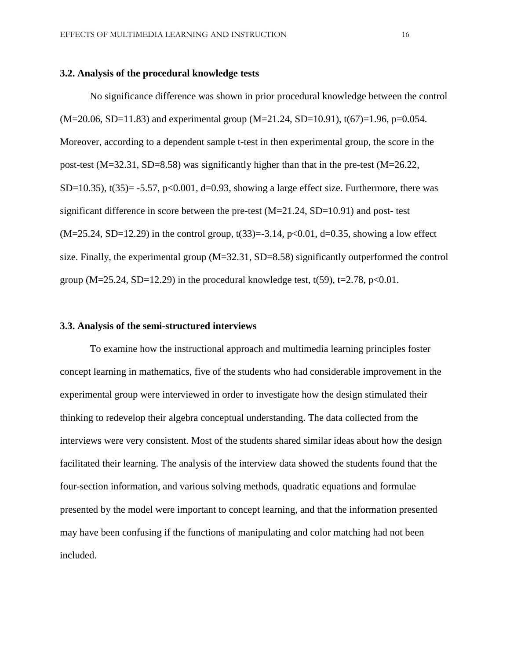#### **3.2. Analysis of the procedural knowledge tests**

No significance difference was shown in prior procedural knowledge between the control  $(M=20.06, SD=11.83)$  and experimental group  $(M=21.24, SD=10.91)$ ,  $t(67)=1.96, p=0.054$ . Moreover, according to a dependent sample t-test in then experimental group, the score in the post-test (M=32.31, SD=8.58) was significantly higher than that in the pre-test (M=26.22, SD=10.35),  $t(35)$ = -5.57,  $p<0.001$ , d=0.93, showing a large effect size. Furthermore, there was significant difference in score between the pre-test (M=21.24, SD=10.91) and post- test  $(M=25.24, SD=12.29)$  in the control group, t(33) = -3.14, p<0.01, d=0.35, showing a low effect size. Finally, the experimental group (M=32.31, SD=8.58) significantly outperformed the control group (M=25.24, SD=12.29) in the procedural knowledge test,  $t(59)$ , t=2.78, p<0.01.

### **3.3. Analysis of the semi-structured interviews**

To examine how the instructional approach and multimedia learning principles foster concept learning in mathematics, five of the students who had considerable improvement in the experimental group were interviewed in order to investigate how the design stimulated their thinking to redevelop their algebra conceptual understanding. The data collected from the interviews were very consistent. Most of the students shared similar ideas about how the design facilitated their learning. The analysis of the interview data showed the students found that the four-section information, and various solving methods, quadratic equations and formulae presented by the model were important to concept learning, and that the information presented may have been confusing if the functions of manipulating and color matching had not been included.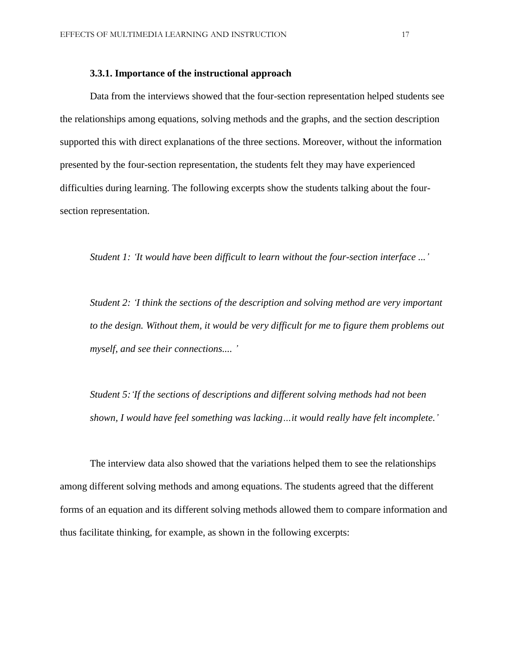### **3.3.1. Importance of the instructional approach**

Data from the interviews showed that the four-section representation helped students see the relationships among equations, solving methods and the graphs, and the section description supported this with direct explanations of the three sections. Moreover, without the information presented by the four-section representation, the students felt they may have experienced difficulties during learning. The following excerpts show the students talking about the foursection representation.

*Student 1: 'It would have been difficult to learn without the four-section interface ...'*

*Student 2: 'I think the sections of the description and solving method are very important to the design. Without them, it would be very difficult for me to figure them problems out myself, and see their connections.... '*

*Student 5:'If the sections of descriptions and different solving methods had not been shown, I would have feel something was lacking…it would really have felt incomplete.'*

The interview data also showed that the variations helped them to see the relationships among different solving methods and among equations. The students agreed that the different forms of an equation and its different solving methods allowed them to compare information and thus facilitate thinking, for example, as shown in the following excerpts: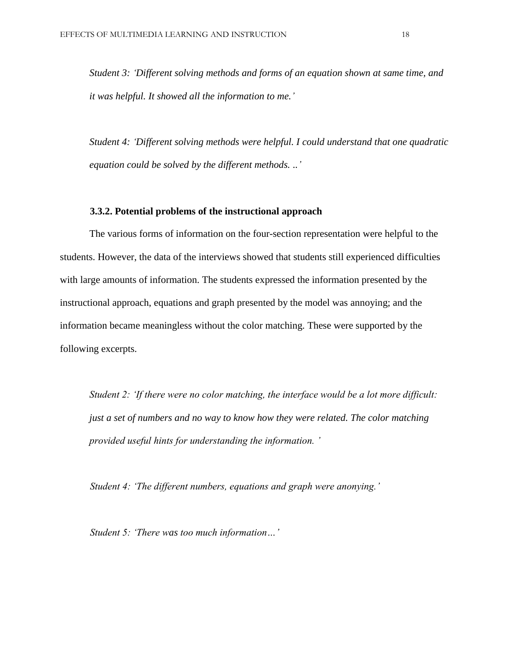*Student 3: 'Different solving methods and forms of an equation shown at same time, and it was helpful. It showed all the information to me.'*

*Student 4: 'Different solving methods were helpful. I could understand that one quadratic equation could be solved by the different methods. ..'*

### **3.3.2. Potential problems of the instructional approach**

The various forms of information on the four-section representation were helpful to the students. However, the data of the interviews showed that students still experienced difficulties with large amounts of information. The students expressed the information presented by the instructional approach, equations and graph presented by the model was annoying; and the information became meaningless without the color matching. These were supported by the following excerpts.

*Student 2: 'If there were no color matching, the interface would be a lot more difficult: just a set of numbers and no way to know how they were related. The color matching provided useful hints for understanding the information. '*

*Student 4: 'The different numbers, equations and graph were anonying.'*

*Student 5: 'There was too much information…'*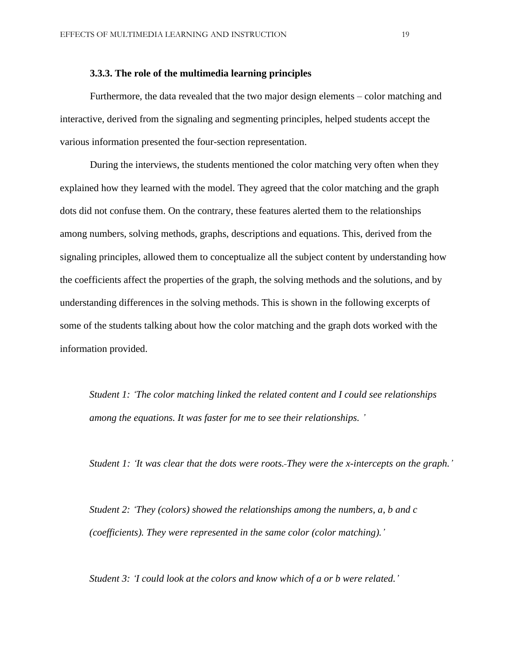### **3.3.3. The role of the multimedia learning principles**

Furthermore, the data revealed that the two major design elements – color matching and interactive, derived from the signaling and segmenting principles, helped students accept the various information presented the four-section representation.

During the interviews, the students mentioned the color matching very often when they explained how they learned with the model. They agreed that the color matching and the graph dots did not confuse them. On the contrary, these features alerted them to the relationships among numbers, solving methods, graphs, descriptions and equations. This, derived from the signaling principles, allowed them to conceptualize all the subject content by understanding how the coefficients affect the properties of the graph, the solving methods and the solutions, and by understanding differences in the solving methods. This is shown in the following excerpts of some of the students talking about how the color matching and the graph dots worked with the information provided.

*Student 1: 'The color matching linked the related content and I could see relationships among the equations. It was faster for me to see their relationships. '*

*Student 1: 'It was clear that the dots were roots. They were the x-intercepts on the graph.'*

*Student 2: 'They (colors) showed the relationships among the numbers, a, b and c (coefficients). They were represented in the same color (color matching).'*

*Student 3: 'I could look at the colors and know which of a or b were related.'*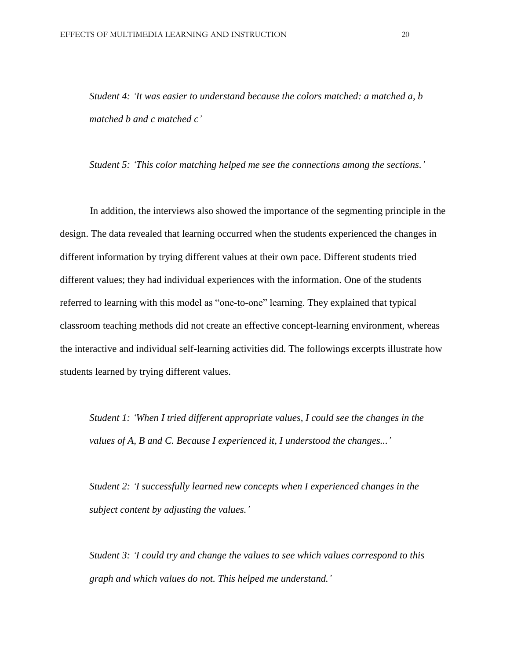*Student 4: 'It was easier to understand because the colors matched: a matched a, b matched b and c matched c'*

*Student 5: 'This color matching helped me see the connections among the sections.'*

In addition, the interviews also showed the importance of the segmenting principle in the design. The data revealed that learning occurred when the students experienced the changes in different information by trying different values at their own pace. Different students tried different values; they had individual experiences with the information. One of the students referred to learning with this model as "one-to-one" learning. They explained that typical classroom teaching methods did not create an effective concept-learning environment, whereas the interactive and individual self-learning activities did. The followings excerpts illustrate how students learned by trying different values.

*Student 1: 'When I tried different appropriate values, I could see the changes in the values of A, B and C. Because I experienced it, I understood the changes...'*

*Student 2: 'I successfully learned new concepts when I experienced changes in the subject content by adjusting the values.'*

*Student 3: 'I could try and change the values to see which values correspond to this graph and which values do not. This helped me understand.'*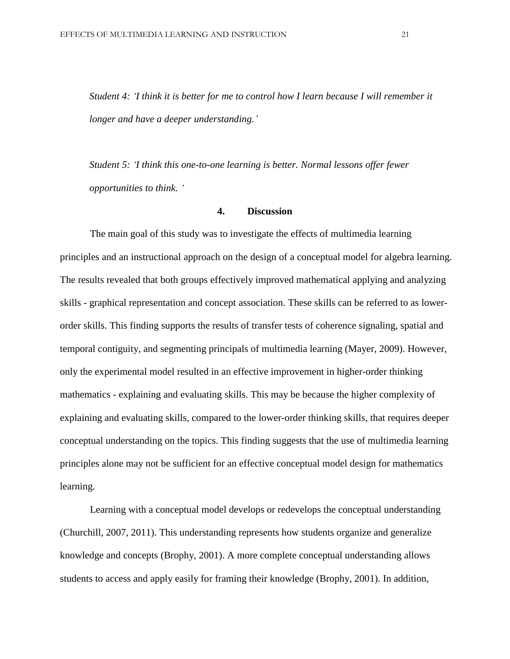*Student 4: 'I think it is better for me to control how I learn because I will remember it longer and have a deeper understanding.'*

*Student 5: 'I think this one-to-one learning is better. Normal lessons offer fewer opportunities to think. '*

### **4. Discussion**

The main goal of this study was to investigate the effects of multimedia learning principles and an instructional approach on the design of a conceptual model for algebra learning. The results revealed that both groups effectively improved mathematical applying and analyzing skills - graphical representation and concept association. These skills can be referred to as lowerorder skills. This finding supports the results of transfer tests of coherence signaling, spatial and temporal contiguity, and segmenting principals of multimedia learning (Mayer, 2009). However, only the experimental model resulted in an effective improvement in higher-order thinking mathematics - explaining and evaluating skills. This may be because the higher complexity of explaining and evaluating skills, compared to the lower-order thinking skills, that requires deeper conceptual understanding on the topics. This finding suggests that the use of multimedia learning principles alone may not be sufficient for an effective conceptual model design for mathematics learning.

Learning with a conceptual model develops or redevelops the conceptual understanding (Churchill, 2007, 2011). This understanding represents how students organize and generalize knowledge and concepts (Brophy, 2001). A more complete conceptual understanding allows students to access and apply easily for framing their knowledge (Brophy, 2001). In addition,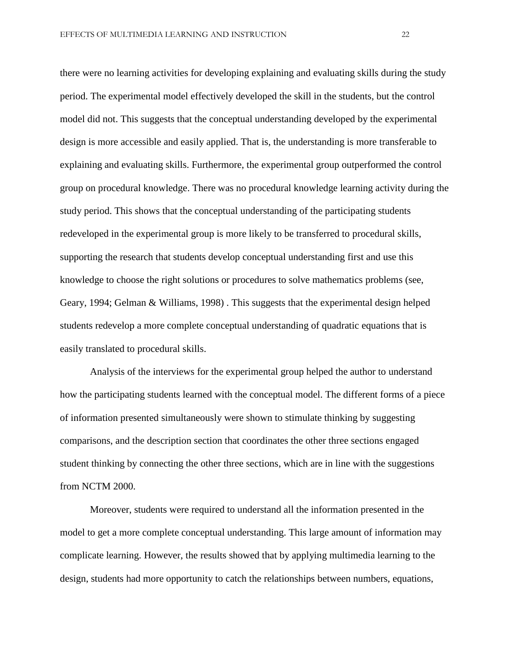there were no learning activities for developing explaining and evaluating skills during the study period. The experimental model effectively developed the skill in the students, but the control model did not. This suggests that the conceptual understanding developed by the experimental design is more accessible and easily applied. That is, the understanding is more transferable to explaining and evaluating skills. Furthermore, the experimental group outperformed the control group on procedural knowledge. There was no procedural knowledge learning activity during the study period. This shows that the conceptual understanding of the participating students redeveloped in the experimental group is more likely to be transferred to procedural skills, supporting the research that students develop conceptual understanding first and use this knowledge to choose the right solutions or procedures to solve mathematics problems (see, Geary, 1994; Gelman & Williams, 1998) . This suggests that the experimental design helped students redevelop a more complete conceptual understanding of quadratic equations that is easily translated to procedural skills.

Analysis of the interviews for the experimental group helped the author to understand how the participating students learned with the conceptual model. The different forms of a piece of information presented simultaneously were shown to stimulate thinking by suggesting comparisons, and the description section that coordinates the other three sections engaged student thinking by connecting the other three sections, which are in line with the suggestions from NCTM 2000.

Moreover, students were required to understand all the information presented in the model to get a more complete conceptual understanding. This large amount of information may complicate learning. However, the results showed that by applying multimedia learning to the design, students had more opportunity to catch the relationships between numbers, equations,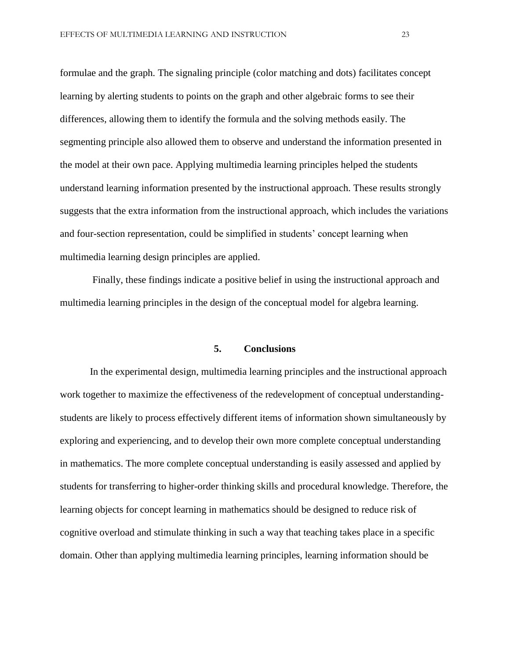formulae and the graph. The signaling principle (color matching and dots) facilitates concept learning by alerting students to points on the graph and other algebraic forms to see their differences, allowing them to identify the formula and the solving methods easily. The segmenting principle also allowed them to observe and understand the information presented in the model at their own pace. Applying multimedia learning principles helped the students understand learning information presented by the instructional approach. These results strongly suggests that the extra information from the instructional approach, which includes the variations and four-section representation, could be simplified in students' concept learning when multimedia learning design principles are applied.

Finally, these findings indicate a positive belief in using the instructional approach and multimedia learning principles in the design of the conceptual model for algebra learning.

### **5. Conclusions**

In the experimental design, multimedia learning principles and the instructional approach work together to maximize the effectiveness of the redevelopment of conceptual understandingstudents are likely to process effectively different items of information shown simultaneously by exploring and experiencing, and to develop their own more complete conceptual understanding in mathematics. The more complete conceptual understanding is easily assessed and applied by students for transferring to higher-order thinking skills and procedural knowledge. Therefore, the learning objects for concept learning in mathematics should be designed to reduce risk of cognitive overload and stimulate thinking in such a way that teaching takes place in a specific domain. Other than applying multimedia learning principles, learning information should be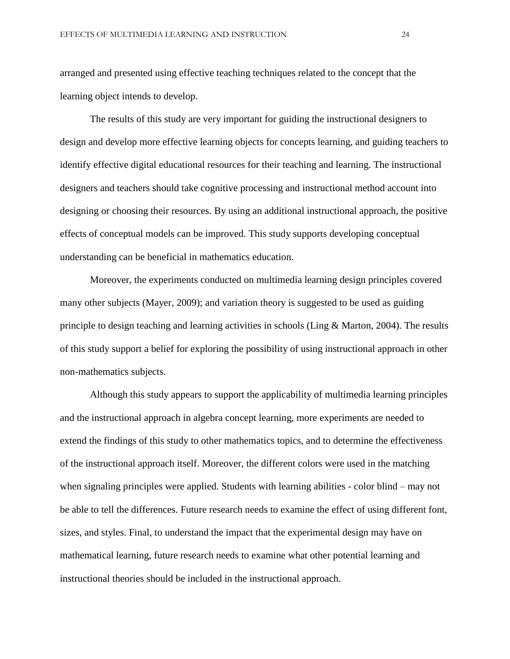arranged and presented using effective teaching techniques related to the concept that the learning object intends to develop.

The results of this study are very important for guiding the instructional designers to design and develop more effective learning objects for concepts learning, and guiding teachers to identify effective digital educational resources for their teaching and learning. The instructional designers and teachers should take cognitive processing and instructional method account into designing or choosing their resources. By using an additional instructional approach, the positive effects of conceptual models can be improved. This study supports developing conceptual understanding can be beneficial in mathematics education.

Moreover, the experiments conducted on multimedia learning design principles covered many other subjects (Mayer, 2009); and variation theory is suggested to be used as guiding principle to design teaching and learning activities in schools (Ling & Marton, 2004). The results of this study support a belief for exploring the possibility of using instructional approach in other non-mathematics subjects.

Although this study appears to support the applicability of multimedia learning principles and the instructional approach in algebra concept learning, more experiments are needed to extend the findings of this study to other mathematics topics, and to determine the effectiveness of the instructional approach itself. Moreover, the different colors were used in the matching when signaling principles were applied. Students with learning abilities - color blind – may not be able to tell the differences. Future research needs to examine the effect of using different font, sizes, and styles. Final, to understand the impact that the experimental design may have on mathematical learning, future research needs to examine what other potential learning and instructional theories should be included in the instructional approach.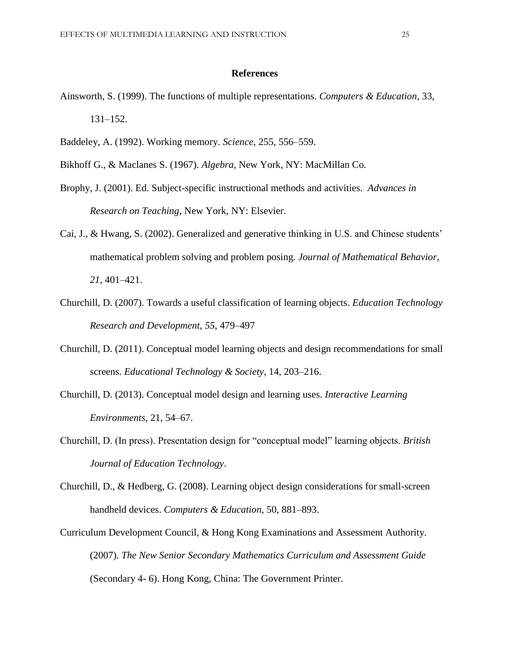### **References**

- Ainsworth, S. (1999). The functions of multiple representations. *Computers & Education*, 33, 131–152.
- Baddeley, A. (1992). Working memory. *Science*, 255, 556–559.
- Bikhoff G., & Maclanes S. (1967). *Algebra,* New York, NY: MacMillan Co.
- Brophy, J. (2001). Ed. Subject-specific instructional methods and activities. *Advances in Research on Teaching*, New York, NY: Elsevier.
- Cai, J., & Hwang, S. (2002). Generalized and generative thinking in U.S. and Chinese students' mathematical problem solving and problem posing. *Journal of Mathematical Behavior, 21*, 401–421.
- Churchill, D. (2007). Towards a useful classification of learning objects. *Education Technology Research and Development, 55*, 479–497
- Churchill, D. (2011). Conceptual model learning objects and design recommendations for small screens. *Educational Technology & Society*, 14, 203–216.
- Churchill, D. (2013). Conceptual model design and learning uses. *Interactive Learning Environments*, 21, 54–67.
- Churchill, D. (In press). Presentation design for "conceptual model" learning objects. *British Journal of Education Technology*.
- Churchill, D., & Hedberg, G. (2008). Learning object design considerations for small-screen handheld devices. *Computers & Education,* 50, 881–893.
- Curriculum Development Council, & Hong Kong Examinations and Assessment Authority. (2007). *The New Senior Secondary Mathematics Curriculum and Assessment Guide* (Secondary 4- 6). Hong Kong, China: The Government Printer.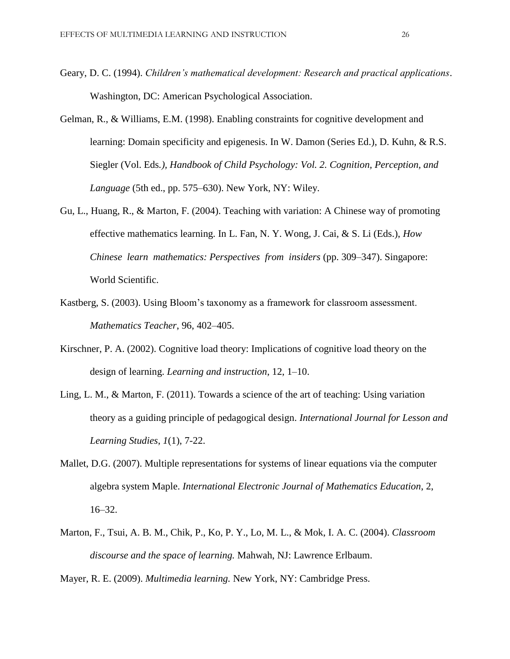- Geary, D. C. (1994). *Children's mathematical development: Research and practical applications*. Washington, DC: American Psychological Association.
- Gelman, R., & Williams, E.M. (1998). Enabling constraints for cognitive development and learning: Domain specificity and epigenesis. In W. Damon (Series Ed.), D. Kuhn, & R.S. Siegler (Vol. Eds*.), Handbook of Child Psychology: Vol. 2. Cognition, Perception, and Language* (5th ed., pp. 575–630). New York, NY: Wiley.
- Gu, L., Huang, R., & Marton, F. (2004). Teaching with variation: A Chinese way of promoting effective mathematics learning. In L. Fan, N. Y. Wong, J. Cai, & S. Li (Eds.), *How Chinese learn mathematics: Perspectives from insiders* (pp. 309–347). Singapore: World Scientific.
- Kastberg, S. (2003). Using Bloom's taxonomy as a framework for classroom assessment. *Mathematics Teacher*, 96, 402–405.
- Kirschner, P. A. (2002). Cognitive load theory: Implications of cognitive load theory on the design of learning. *Learning and instruction*, 12, 1–10.
- Ling, L. M., & Marton, F. (2011). Towards a science of the art of teaching: Using variation theory as a guiding principle of pedagogical design. *International Journal for Lesson and Learning Studies*, *1*(1), 7-22.
- Mallet, D.G. (2007). Multiple representations for systems of linear equations via the computer algebra system Maple. *International Electronic Journal of Mathematics Education*, 2, 16–32.
- Marton, F., Tsui, A. B. M., Chik, P., Ko, P. Y., Lo, M. L., & Mok, I. A. C. (2004). *Classroom discourse and the space of learning.* Mahwah, NJ: Lawrence Erlbaum.
- Mayer, R. E. (2009). *Multimedia learning.* New York, NY: Cambridge Press.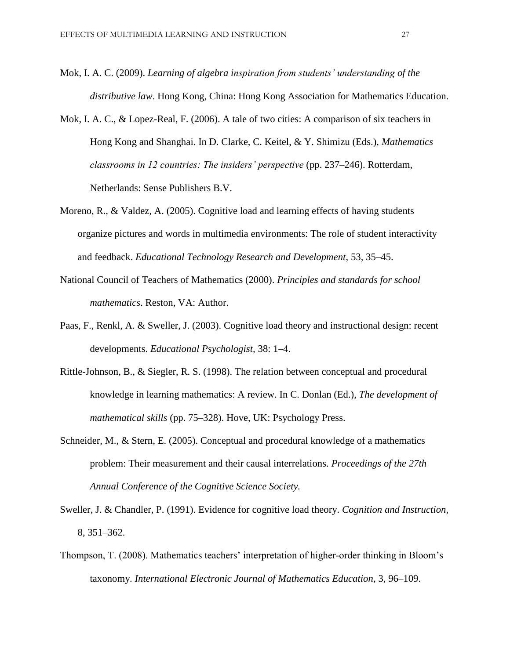- Mok, I. A. C. (2009). *Learning of algebra inspiration from students' understanding of the distributive law*. Hong Kong, China: Hong Kong Association for Mathematics Education.
- Mok, I. A. C., & Lopez-Real, F. (2006). A tale of two cities: A comparison of six teachers in Hong Kong and Shanghai. In D. Clarke, C. Keitel, & Y. Shimizu (Eds.), *Mathematics classrooms in 12 countries: The insiders' perspective (pp. 237–246). Rotterdam,* Netherlands: Sense Publishers B.V.
- Moreno, R., & Valdez, A. (2005). Cognitive load and learning effects of having students organize pictures and words in multimedia environments: The role of student interactivity and feedback. *Educational Technology Research and Development*, 53, 35–45.
- National Council of Teachers of Mathematics (2000). *Principles and standards for school mathematics*. Reston, VA: Author.
- Paas, F., Renkl, A. & Sweller, J. (2003). Cognitive load theory and instructional design: recent developments. *Educational Psychologist,* 38: 1–4.
- Rittle-Johnson, B., & Siegler, R. S. (1998). The relation between conceptual and procedural knowledge in learning mathematics: A review. In C. Donlan (Ed.), *The development of mathematical skills* (pp. 75–328). Hove, UK: Psychology Press.
- Schneider, M., & Stern, E. (2005). Conceptual and procedural knowledge of a mathematics problem: Their measurement and their causal interrelations. *Proceedings of the 27th Annual Conference of the Cognitive Science Society.*
- Sweller, J. & Chandler, P. (1991). Evidence for cognitive load theory. *Cognition and Instruction*, 8, 351–362.
- Thompson, T. (2008). Mathematics teachers' interpretation of higher-order thinking in Bloom's taxonomy. *International Electronic Journal of Mathematics Education*, 3, 96–109.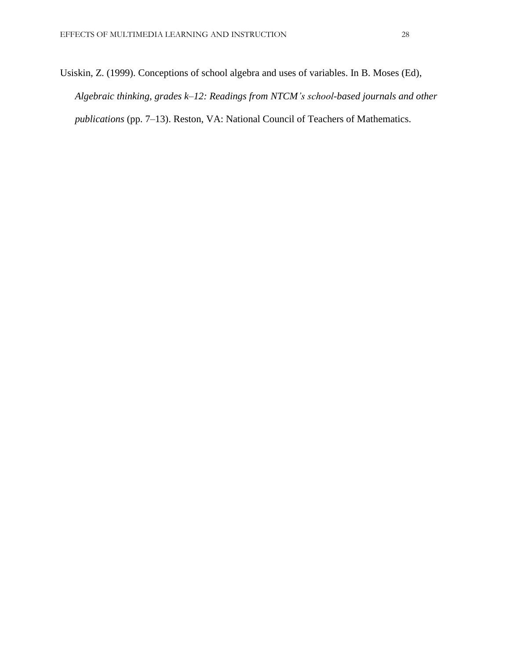Usiskin, Z. (1999). Conceptions of school algebra and uses of variables. In B. Moses (Ed), *Algebraic thinking, grades k–12: Readings from NTCM's school-based journals and other publications* (pp. 7–13). Reston, VA: National Council of Teachers of Mathematics.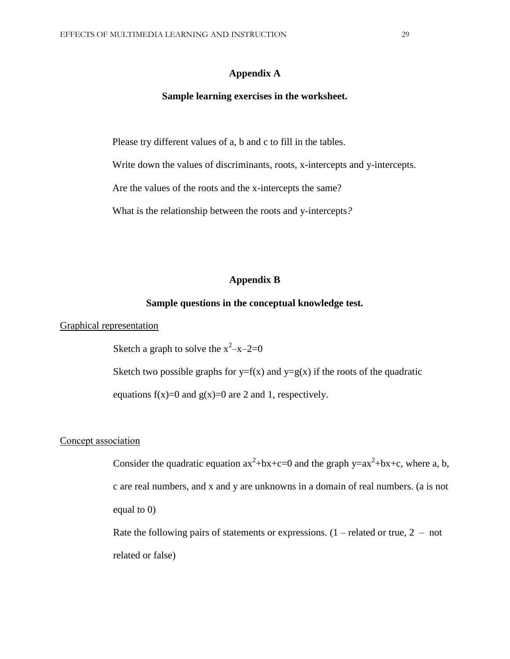### **Appendix A**

#### **Sample learning exercises in the worksheet.**

Please try different values of a, b and c to fill in the tables.

Write down the values of discriminants, roots, x-intercepts and y-intercepts.

Are the values of the roots and the x-intercepts the same?

What is the relationship between the roots and y-intercepts*?* 

### **Appendix B**

#### **Sample questions in the conceptual knowledge test.**

Graphical representation

Sketch a graph to solve the  $x^2-x-2=0$ 

Sketch two possible graphs for  $y=f(x)$  and  $y=g(x)$  if the roots of the quadratic

equations  $f(x)=0$  and  $g(x)=0$  are 2 and 1, respectively.

### Concept association

Consider the quadratic equation  $ax^2+bx+c=0$  and the graph  $y=ax^2+bx+c$ , where a, b, c are real numbers, and x and y are unknowns in a domain of real numbers. (a is not equal to 0)

Rate the following pairs of statements or expressions.  $(1 -$  related or true,  $2 -$  not related or false)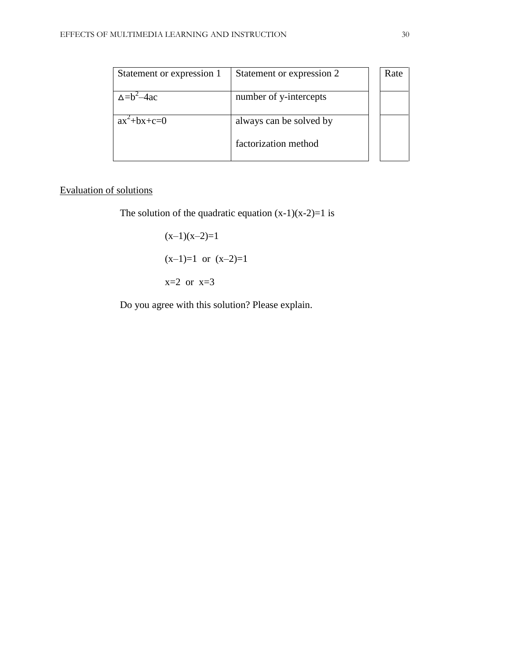| Statement or expression 1 | Statement or expression 2 | Rate |
|---------------------------|---------------------------|------|
| $\wedge = b^2 - 4ac$      | number of y-intercepts    |      |
| $ax^2+bx+c=0$             | always can be solved by   |      |
|                           | factorization method      |      |

# Evaluation of solutions

The solution of the quadratic equation  $(x-1)(x-2)=1$  is

 $(x-1)(x-2)=1$  $(x-1)=1$  or  $(x-2)=1$  $x=2$  or  $x=3$ 

Do you agree with this solution? Please explain.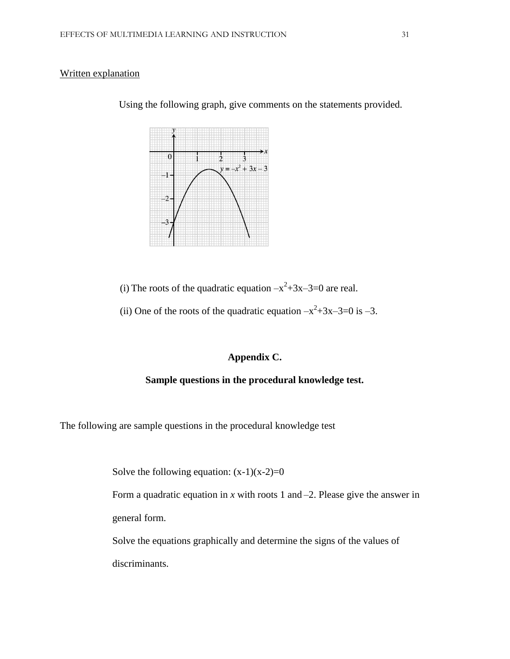### Written explanation



Using the following graph, give comments on the statements provided.

(i) The roots of the quadratic equation  $-x^2+3x-3=0$  are real.

(ii) One of the roots of the quadratic equation  $-x^2+3x-3=0$  is  $-3$ .

### **Appendix C.**

### **Sample questions in the procedural knowledge test.**

The following are sample questions in the procedural knowledge test

Solve the following equation:  $(x-1)(x-2)=0$ 

Form a quadratic equation in  $x$  with roots 1 and  $-2$ . Please give the answer in general form.

Solve the equations graphically and determine the signs of the values of discriminants.